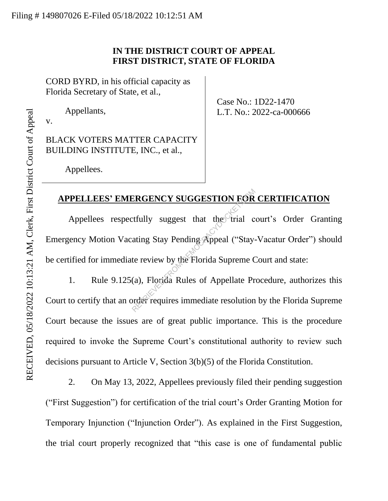# **IN THE DISTRICT COURT OF APPEAL FIRST DISTRICT, STATE OF FLORIDA**

CORD BYRD, in his official capacity as Florida Secretary of State, et al.,

Appellants,

v.

BLACK VOTERS MATTER CAPACITY BUILDING INSTITUTE, INC., et al.,

Case No.: 1D22-1470 L.T. No.: 2022-ca-000666

Appellees.

## **APPELLEES' EMERGENCY SUGGESTION FOR CERTIFICATION**

Appellees respectfully suggest that the trial court's Order Granting Emergency Motion Vacating Stay Pending Appeal ("Stay-Vacatur Order") should be certified for immediate review by the Florida Supreme Court and state: ERGENCY SUGGESTION FOR<br>
extrally suggest that the trial c<br>
ating Stay Pending Appeal ("Stay-<br>
te review by the Florida Supreme C<br>
(a), Florida Rules of Appellate Pr<br>
order requires immediate resolution

1. Rule 9.125(a), Florida Rules of Appellate Procedure, authorizes this Court to certify that an order requires immediate resolution by the Florida Supreme Court because the issues are of great public importance. This is the procedure required to invoke the Supreme Court's constitutional authority to review such decisions pursuant to Article V, Section 3(b)(5) of the Florida Constitution.

2. On May 13, 2022, Appellees previously filed their pending suggestion ("First Suggestion") for certification of the trial court's Order Granting Motion for Temporary Injunction ("Injunction Order"). As explained in the First Suggestion, the trial court properly recognized that "this case is one of fundamental public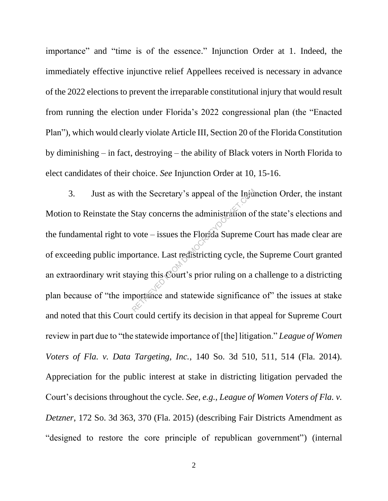importance" and "time is of the essence." Injunction Order at 1. Indeed, the immediately effective injunctive relief Appellees received is necessary in advance of the 2022 elections to prevent the irreparable constitutional injury that would result from running the election under Florida's 2022 congressional plan (the "Enacted Plan"), which would clearly violate Article III, Section 20 of the Florida Constitution by diminishing – in fact, destroying – the ability of Black voters in North Florida to elect candidates of their choice. *See* Injunction Order at 10, 15-16.

3. Just as with the Secretary's appeal of the Injunction Order, the instant Motion to Reinstate the Stay concerns the administration of the state's elections and the fundamental right to vote – issues the Florida Supreme Court has made clear are of exceeding public importance. Last redistricting cycle, the Supreme Court granted an extraordinary writ staying this Court's prior ruling on a challenge to a districting plan because of "the importance and statewide significance of" the issues at stake and noted that this Court could certify its decision in that appeal for Supreme Court review in part due to "the statewide importance of [the] litigation." *League of Women Voters of Fla. v. Data Targeting, Inc.*, 140 So. 3d 510, 511, 514 (Fla. 2014). Appreciation for the public interest at stake in districting litigation pervaded the Court's decisions throughout the cycle. *See, e.g.*, *League of Women Voters of Fla. v. Detzner*, 172 So. 3d 363, 370 (Fla. 2015) (describing Fair Districts Amendment as "designed to restore the core principle of republican government") (internal The Secretary's appeal of the Injux<br>Stay concerns the administration of<br>vote – issues the Florida Supreme<br>ortance. Last redistricting cycle, the<br>ving this Court's prior ruling on a contance and statewide significance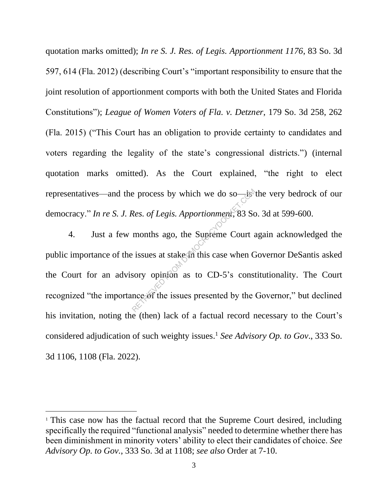quotation marks omitted); *In re S. J. Res. of Legis. Apportionment 1176*, 83 So. 3d 597, 614 (Fla. 2012) (describing Court's "important responsibility to ensure that the joint resolution of apportionment comports with both the United States and Florida Constitutions"); *League of Women Voters of Fla. v. Detzner*, 179 So. 3d 258, 262 (Fla. 2015) ("This Court has an obligation to provide certainty to candidates and voters regarding the legality of the state's congressional districts.") (internal quotation marks omitted). As the Court explained, "the right to elect representatives—and the process by which we do so—is the very bedrock of our democracy." *In re S. J. Res. of Legis. Apportionment*, 83 So. 3d at 599-600.

4. Just a few months ago, the Supreme Court again acknowledged the public importance of the issues at stake in this case when Governor DeSantis asked the Court for an advisory opinion as to CD-5's constitutionality. The Court recognized "the importance of the issues presented by the Governor," but declined his invitation, noting the (then) lack of a factual record necessary to the Court's considered adjudication of such weighty issues. <sup>1</sup> *See Advisory Op. to Gov*., 333 So. 3d 1106, 1108 (Fla. 2022). Res. of Legis. Apportionment, 83 Sc<br>
months ago, the Supreme Court at<br>
issues at stake in this case when C<br>
sory opinion as to CD-5's consumed in the series of the issues presented by the

<sup>&</sup>lt;sup>1</sup> This case now has the factual record that the Supreme Court desired, including specifically the required "functional analysis" needed to determine whether there has been diminishment in minority voters' ability to elect their candidates of choice. *See Advisory Op. to Gov.*, 333 So. 3d at 1108; *see also* Order at 7-10.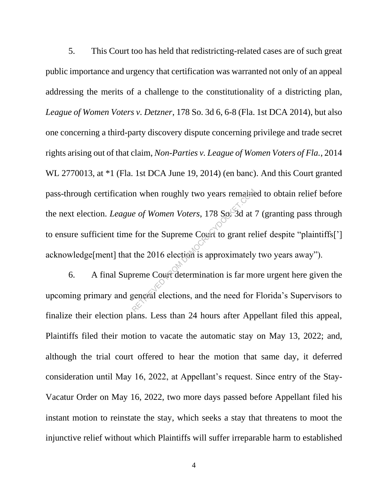5. This Court too has held that redistricting-related cases are of such great public importance and urgency that certification was warranted not only of an appeal addressing the merits of a challenge to the constitutionality of a districting plan, *League of Women Voters v. Detzner*, 178 So. 3d 6, 6-8 (Fla. 1st DCA 2014), but also one concerning a third-party discovery dispute concerning privilege and trade secret rights arising out of that claim, *Non-Parties v. League of Women Voters of Fla.*, 2014 WL 2770013, at \*1 (Fla. 1st DCA June 19, 2014) (en banc). And this Court granted pass-through certification when roughly two years remained to obtain relief before the next election. *League of Women Voters*, 178 So. 3d at 7 (granting pass through to ensure sufficient time for the Supreme Court to grant relief despite "plaintiffs['] acknowledge[ment] that the 2016 election is approximately two years away"). A when roughly two years remains<br>  $\frac{e}{3}$  of Women Voters, 178 So. 3d at<br>  $\frac{e}{3}$  for the Supreme Court to grant ref<br>
the 2016 election is approximately<br>
reme Court determination is far moderned elections, and the nee

6. A final Supreme Court determination is far more urgent here given the upcoming primary and general elections, and the need for Florida's Supervisors to finalize their election plans. Less than 24 hours after Appellant filed this appeal, Plaintiffs filed their motion to vacate the automatic stay on May 13, 2022; and, although the trial court offered to hear the motion that same day, it deferred consideration until May 16, 2022, at Appellant's request. Since entry of the Stay-Vacatur Order on May 16, 2022, two more days passed before Appellant filed his instant motion to reinstate the stay, which seeks a stay that threatens to moot the injunctive relief without which Plaintiffs will suffer irreparable harm to established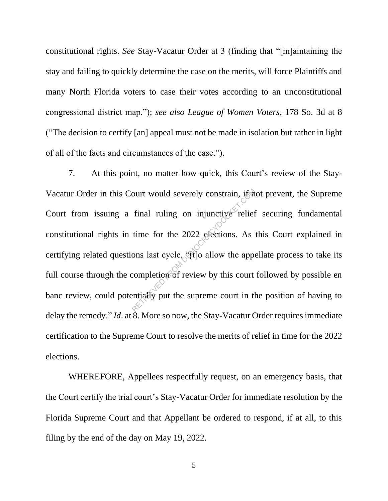constitutional rights. *See* Stay-Vacatur Order at 3 (finding that "[m]aintaining the stay and failing to quickly determine the case on the merits, will force Plaintiffs and many North Florida voters to case their votes according to an unconstitutional congressional district map."); *see also League of Women Voters*, 178 So. 3d at 8 ("The decision to certify [an] appeal must not be made in isolation but rather in light of all of the facts and circumstances of the case.").

7. At this point, no matter how quick, this Court's review of the Stay-Vacatur Order in this Court would severely constrain, if not prevent, the Supreme Court from issuing a final ruling on injunctive relief securing fundamental constitutional rights in time for the 2022 elections. As this Court explained in certifying related questions last cycle, "[t]o allow the appellate process to take its full course through the completion of review by this court followed by possible en banc review, could potentially put the supreme court in the position of having to delay the remedy." *Id.* at 8. More so now, the Stay-Vacatur Order requires immediate certification to the Supreme Court to resolve the merits of relief in time for the 2022 elections. ourt would severely constrain, if it<br>final ruling on injunctive relief<br>time for the 2022 elections. As<br>ons last cycle, ((1) allow the apper<br>completion of review by this court<br>entially put the supreme court in the

WHEREFORE, Appellees respectfully request, on an emergency basis, that the Court certify the trial court's Stay-Vacatur Order for immediate resolution by the Florida Supreme Court and that Appellant be ordered to respond, if at all, to this filing by the end of the day on May 19, 2022.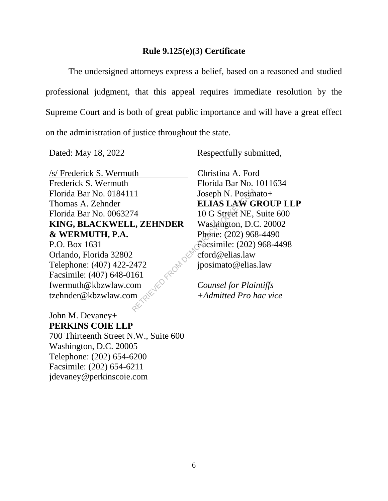### **Rule 9.125(e)(3) Certificate**

The undersigned attorneys express a belief, based on a reasoned and studied professional judgment, that this appeal requires immediate resolution by the Supreme Court and is both of great public importance and will have a great effect on the administration of justice throughout the state.

/s/ Frederick S. Wermuth Frederick S. Wermuth Florida Bar No. 0184111 Thomas A. Zehnder Florida Bar No. 0063274 **KING, BLACKWELL, ZEHNDER & WERMUTH, P.A.** P.O. Box 1631 Orlando, Florida 32802 Telephone: (407) 422-2472 Facsimile: (407) 648-0161 fwermuth@kbzwlaw.com tzehnder@kbzwlaw.com 11 Joseph N. Posim<br>
ELIAS LAW G<br>
10 G Street NE,<br>
L, ZEHNDER Washington, D.C<br>
Phone: (202) 96<br>
Facsimile: (202)<br>
2472 jposimato@elias.law<br>
161<br>
2002 cford@elias.law<br>
2472 jposimato@elias.law<br>
2472 counsel for Plai<br>
41 Coun

John M. Devaney+ **PERKINS COIE LLP** 700 Thirteenth Street N.W., Suite 600 Washington, D.C. 20005 Telephone: (202) 654-6200 Facsimile: (202) 654-6211 jdevaney@perkinscoie.com

Dated: May 18, 2022 Respectfully submitted,

Christina A. Ford Florida Bar No. 1011634 Joseph N. Posimato+ **ELIAS LAW GROUP LLP** 10 G Street NE, Suite 600 Washington, D.C. 20002 Phone: (202) 968-4490 Facsimile: (202) 968-4498 cford@elias.law jposimato@elias.law

*Counsel for Plaintiffs +Admitted Pro hac vice*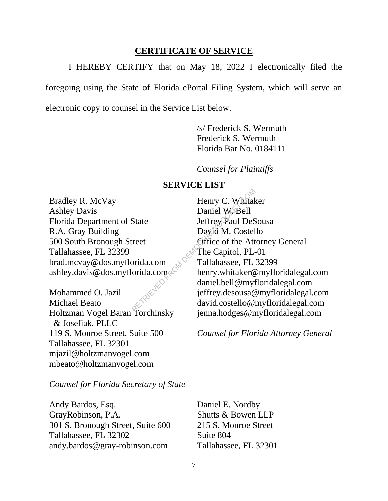#### **CERTIFICATE OF SERVICE**

I HEREBY CERTIFY that on May 18, 2022 I electronically filed the

foregoing using the State of Florida ePortal Filing System, which will serve an

electronic copy to counsel in the Service List below.

/s/ Frederick S. Wermuth Frederick S. Wermuth Florida Bar No. 0184111

*Counsel for Plaintiffs*

### **SERVICE LIST**

Bradley R. McVay Ashley Davis Florida Department of State R.A. Gray Building 500 South Bronough Street Tallahassee, FL 32399 brad.mcvay@dos.myflorida.com ashley.davis@dos.myflorida.com

Mohammed O. Jazil Michael Beato Holtzman Vogel Baran Torchinsky & Josefiak, PLLC 119 S. Monroe Street, Suite 500 Tallahassee, FL 32301 mjazil@holtzmanvogel.com mbeato@holtzmanvogel.com

Henry C. Whitaker Daniel W. Bell Jeffrey Paul DeSousa David M. Costello Office of the Attorney General The Capitol, PL-01 Tallahassee, FL 32399 henry.whitaker@myfloridalegal.com daniel.bell@myfloridalegal.com jeffrey.desousa@myfloridalegal.com david.costello@myfloridalegal.com jenna.hodges@myfloridalegal.com Henry C. Whitak<br>
Daniel W. Bell<br>
State Jeffrey Paul DeS<br>
David M. Costel<br>
reet Office of the Att<br>
The Capitol, PL-<br>
orida.com<br>
Tallahassee, FL<br>
orida.com<br>
Tallahassee, FL<br>
henry.whitaker@<br>
daniel.bell@myl<br>
jeffrey.desousa@

*Counsel for Florida Attorney General*

*Counsel for Florida Secretary of State*

Andy Bardos, Esq. GrayRobinson, P.A. 301 S. Bronough Street, Suite 600 Tallahassee, FL 32302 andy.bardos@gray-robinson.com

Daniel E. Nordby Shutts & Bowen LLP 215 S. Monroe Street Suite 804 Tallahassee, FL 32301